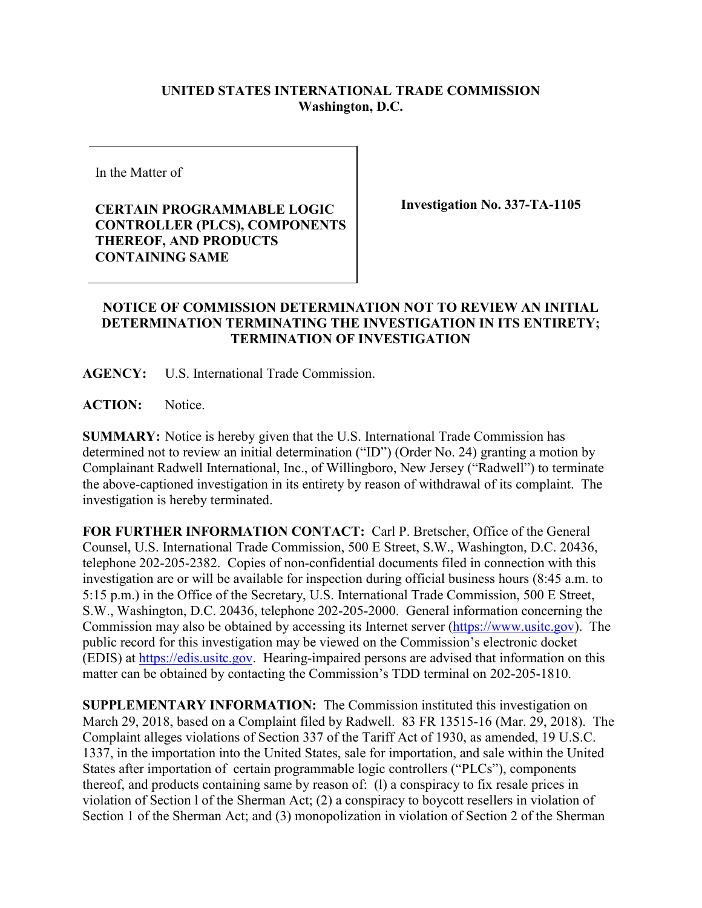## **UNITED STATES INTERNATIONAL TRADE COMMISSION Washington, D.C.**

In the Matter of

**CERTAIN PROGRAMMABLE LOGIC CONTROLLER (PLCS), COMPONENTS THEREOF, AND PRODUCTS CONTAINING SAME**

**Investigation No. 337-TA-1105**

## **NOTICE OF COMMISSION DETERMINATION NOT TO REVIEW AN INITIAL DETERMINATION TERMINATING THE INVESTIGATION IN ITS ENTIRETY; TERMINATION OF INVESTIGATION**

**AGENCY:** U.S. International Trade Commission.

**ACTION:** Notice.

**SUMMARY:** Notice is hereby given that the U.S. International Trade Commission has determined not to review an initial determination ("ID") (Order No. 24) granting a motion by Complainant Radwell International, Inc., of Willingboro, New Jersey ("Radwell") to terminate the above-captioned investigation in its entirety by reason of withdrawal of its complaint. The investigation is hereby terminated.

**FOR FURTHER INFORMATION CONTACT:** Carl P. Bretscher, Office of the General Counsel, U.S. International Trade Commission, 500 E Street, S.W., Washington, D.C. 20436, telephone 202-205-2382. Copies of non-confidential documents filed in connection with this investigation are or will be available for inspection during official business hours (8:45 a.m. to 5:15 p.m.) in the Office of the Secretary, U.S. International Trade Commission, 500 E Street, S.W., Washington, D.C. 20436, telephone 202-205-2000. General information concerning the Commission may also be obtained by accessing its Internet server [\(https://www.usitc.gov\)](https://www.usitc.gov/). The public record for this investigation may be viewed on the Commission's electronic docket (EDIS) at [https://edis.usitc.gov.](https://edis.usitc.gov/) Hearing-impaired persons are advised that information on this matter can be obtained by contacting the Commission's TDD terminal on 202-205-1810.

**SUPPLEMENTARY INFORMATION:** The Commission instituted this investigation on March 29, 2018, based on a Complaint filed by Radwell. 83 FR 13515-16 (Mar. 29, 2018). The Complaint alleges violations of Section 337 of the Tariff Act of 1930, as amended, 19 U.S.C. 1337, in the importation into the United States, sale for importation, and sale within the United States after importation of certain programmable logic controllers ("PLCs"), components thereof, and products containing same by reason of: (l) a conspiracy to fix resale prices in violation of Section l of the Sherman Act; (2) a conspiracy to boycott resellers in violation of Section 1 of the Sherman Act; and (3) monopolization in violation of Section 2 of the Sherman